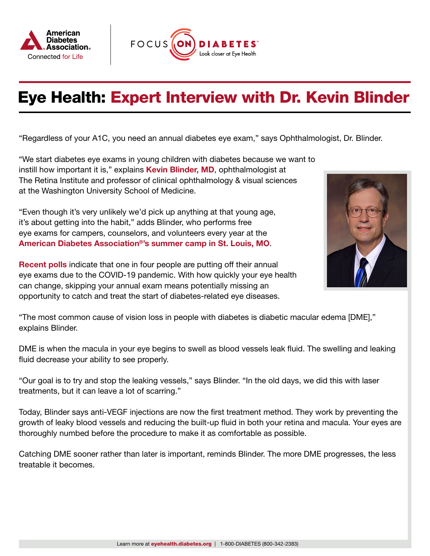



## Eye Health: Expert Interview with Dr. Kevin Blinder

"Regardless of your A1C, you need an annual diabetes eye exam," says Ophthalmologist, Dr. Blinder.

"We start diabetes eye exams in young children with diabetes because we want to instill how important it is," explains [Kevin Blinder, MD](https://www.tri-stl.com/what-we-do), ophthalmologist at The Retina Institute and professor of clinical ophthalmology & visual sciences at the Washington University School of Medicine.

"Even though it's very unlikely we'd pick up anything at that young age, it's about getting into the habit," adds Blinder, who performs free eye exams for campers, counselors, and volunteers every year at the [American Diabetes Association®'s summer camp in St. Louis, MO](https://www.diabetes.org/get-involved/camp).

[Recent polls](https://time.com/5941599/basic-health-care-postponed-covid-19/) indicate that one in four people are putting off their annual eye exams due to the COVID-19 pandemic. With how quickly your eye health can change, skipping your annual exam means potentially missing an opportunity to catch and treat the start of diabetes-related eye diseases.



"The most common cause of vision loss in people with diabetes is diabetic macular edema [DME]," explains Blinder.

DME is when the macula in your eye begins to swell as blood vessels leak fluid. The swelling and leaking fluid decrease your ability to see properly.

"Our goal is to try and stop the leaking vessels," says Blinder. "In the old days, we did this with laser treatments, but it can leave a lot of scarring."

Today, Blinder says anti-VEGF injections are now the first treatment method. They work by preventing the growth of leaky blood vessels and reducing the built-up fluid in both your retina and macula. Your eyes are thoroughly numbed before the procedure to make it as comfortable as possible.

Catching DME sooner rather than later is important, reminds Blinder. The more DME progresses, the less treatable it becomes.